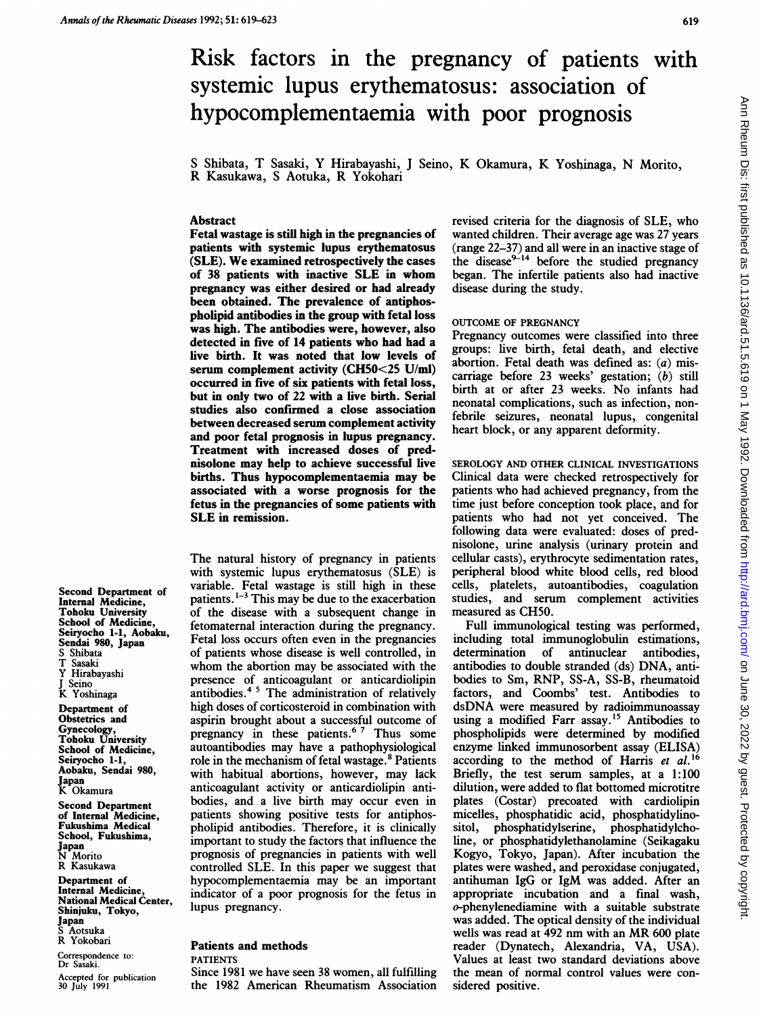# Risk factors in the pregnancy of patients with systemic lupus erythematosus: association of hypocomplementaemia with poor prognosis

<sup>S</sup> Shibata, T Sasaki, Y Hirabayashi, <sup>J</sup> Seino, K Okamura, K Yoshinaga, N Morito, R Kasukawa, <sup>S</sup> Aotuka, R Yokohari

#### Abstract

Fetal wastage is stili high in the pregnancies of patients with systemic lupus erythematosus (SLE). We examined retrospectively the cases of 38 patients with inactive SLE in whom pregnancy was either desired or had already been obtained. The prevalence of antiphospholipid antibodies in the group with fetal loss was high. The antibodies were, however, also detected in five of 14 patients who had had a live birth. It was noted that low levels of serum complement activity (CH50<25 U/mi) occurred in five of six patients with fetal loss, but in only two of 22 with a live birth. Serial studies also confirmed a close association between decreased serum complement activity and poor fetal prognosis in lupus pregnancy. Treatment with increased doses of prednisolone may help to achieve successful live births. Thus hypocomplementaemia may be associated with a worse prognosis for the fetus in the pregnancies of some patients with SLE in remission.

The natural history of pregnancy in patients with systemic lupus erythematosus (SLE) is variable. Fetal wastage is still high in these patients.  $1-3$  This may be due to the exacerbation of the disease with a subsequent change in fetomaternal interaction during the pregnancy. Fetal loss occurs often even in the pregnancies of patients whose disease is well controlled, in whom the abortion may be associated with the presence of anticoagulant or anticardiolipin antibodies.<sup>45</sup> The administration of relatively high doses of corticosteroid in combination with aspirin brought about a successful outcome of pregnancy in these patients.<sup>67</sup> Thus some autoantibodies may have a pathophysiological role in the mechanism of fetal wastage.<sup>8</sup> Patients with habitual abortions, however, may lack anticoagulant activity or anticardiolipin antibodies, and <sup>a</sup> live birth may occur even in patients showing positive tests for antiphospholipid antibodies. Therefore, it is clinically important to study the factors that influence the prognosis of pregnancies in patients with well controlled SLE. In this paper we suggest that hypocomplementaemia may be an important indicator of a poor prognosis for the fetus in lupus pregnancy.

Patients and methods

Correspondence to: Dr Sasaki. Accepted for publication 30 July 1991

Japan K Okamura

Japan N Morito R Kasukawa Department of Internal Medicine, National Medical Center, Shinjuku, Tokyo,

Japan S Aotsuka R Yokobari

Second Department of Internal Medicine, Fukushima Medical School, Fukushima,

Second Department of Internal Medicine, Tohoku University School of Medicine, Seiryocho 1-1, Aobaku, Sendai 980, Japan Shibata T Sasaki Y Hirabayashi J Seino K Yoshinaga Department of Obstetrics and Gynecology, Tohoku University School of Medicine, Seiryocho 1-1 Aobaku, Sendai 980,

#### PATIENTS

Since 1981 we have seen 38 women, all fulfilling the 1982 American Rheumatism Association revised criteria for the diagnosis of SLE, who wanted children. Their average age was 27 years (range 22-37) and all were in an inactive stage of the disease  $2^{2+14}$  before the studied pregnancy began. The infertile patients also had inactive disease during the study.

## OUTCOME OF PREGNANCY

Pregnancy outcomes were classified into three groups: live birth, fetal death, and elective abortion. Fetal death was defined as:  $(a)$  miscarriage before 23 weeks' gestation; (b) still birth at or after 23 weeks. No infants had neonatal complications, such as infection, nonfebrile seizures, neonatal lupus, congenital heart block, or any apparent deformity.

SEROLOGY AND OTHER CLINICAL INVESTIGATIONS Clinical data were checked retrospectively for patients who had achieved pregnancy, from the time just before conception took place, and for patients who had not yet conceived. The following data were evaluated: doses of prednisolone, urine analysis (urinary protein and cellular casts), erythrocyte sedimentation rates, peripheral blood white blood cells, red blood cells, platelets, autoantibodies, coagulation studies, and serum complement activities measured as CH50.

Full immunological testing was performed, including total immunoglobulin estimations, determination of antinuclear antibodies, antibodies to double stranded (ds) DNA, antibodies to Sm, RNP, SS-A, SS-B, rheumatoid factors, and Coombs' test. Antibodies to dsDNA were measured by radioimmunoassay using a modified Farr assay.'5 Antibodies to phospholipids were determined by modified enzyme linked immunosorbent assay (ELISA) according to the method of Harris et al.<sup>16</sup> Briefly, the test serum samples, at a 1:100 dilution, were added to flat bottomed microtitre plates (Costar) precoated with cardiolipin micelles, phosphatidic acid, phosphatidylinophosphatidylserine, phosphatidylcholine, or phosphatidylethanolamine (Seikagaku Kogyo, Tokyo, Japan). After incubation the plates were washed, and peroxidase conjugated, antihuman IgG or IgM was added. After an appropriate incubation and a final wash, o-phenylenediamine with a suitable substrate was added. The optical density of the individual wells was read at <sup>492</sup> nm with an MR <sup>600</sup> plate reader (Dynatech, Alexandria, VA, USA). Values at least two standard deviations above the mean of normal control values were considered positive.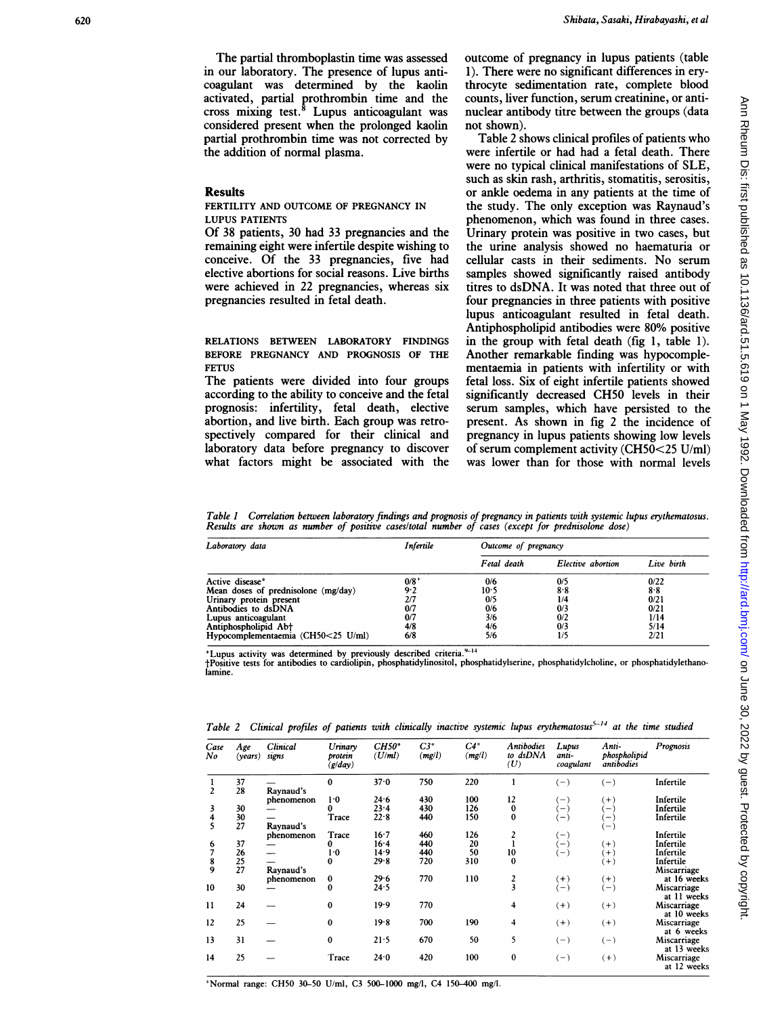The partial thromboplastin time was assessed in our laboratory. The presence of lupus anticoagulant was determined by the kaolin activated, partial prothrombin time and the cross mixing test. $8$  Lupus anticoagulant was considered present when the prolonged kaolin partial prothrombin time was not corrected by the addition of normal plasma.

#### Results

FERTILITY AND OUTCOME OF PREGNANCY IN LUPUS PATIENTS

Of 38 patients, 30 had 33 pregnancies and the remaining eight were infertile despite wishing to conceive. Of the 33 pregnancies, five had elective abortions for social reasons. Live births were achieved in 22 pregnancies, whereas six pregnancies resulted in fetal death.

RELATIONS BETWEEN LABORATORY FINDINGS BEFORE PREGNANCY AND PROGNOSIS OF THE **FFTUS** 

The patients were divided into four groups according to the ability to conceive and the fetal prognosis: infertility, fetal death, elective abortion, and live birth. Each group was retrospectively compared for their clinical and laboratory data before pregnancy to discover what factors might be associated with the outcome of pregnancy in lupus patients (table 1). There were no significant differences in erythrocyte sedimentation rate, complete blood counts, liver function, serum creatinine, or antinuclear antibody titre between the groups (data not shown).

Table 2 shows clinical profiles of patients who were infertile or had had a fetal death. There were no typical clinical manifestations of SLE, such as skin rash, arthritis, stomatitis, serositis, or ankle oedema in any patients at the time of the study. The only exception was Raynaud's phenomenon, which was found in three cases. Urinary protein was positive in two cases, but the urine analysis showed no haematuria or cellular casts in theii sediments. No serum samples showed significantly raised antibody titres to dsDNA. It was noted that three out of four pregnancies in three patients with positive lupus anticoagulant resulted in fetal death. Antiphospholipid antibodies were 80% positive in the group with fetal death (fig 1, table 1). Another remarkable finding was hypocomplementaemia in patients with infertility or with fetal loss. Six of eight infertile patients showed significantly decreased CH50 levels in their serum samples, which have persisted to the present. As shown in fig 2 the incidence of pregnancy in lupus patients showing low levels of serum complement activity (CH50<25 U/ml) was lower than for those with normal levels

Table 1 Correlation between laboratory findings and prognosis of pregnancy in patients with systemic lupus erythematosus. Results are shown as number of positive cases/total number of cases (except for prednisolone dose)

| Laboratory data                     | Infertile | Outcome of pregnancy |                   |            |  |
|-------------------------------------|-----------|----------------------|-------------------|------------|--|
|                                     |           | Fetal death          | Elective abortion | Live birth |  |
| Active disease*                     | $0/8^+$   | 0/6                  | 0/5               | 0/22       |  |
| Mean doses of prednisolone (mg/day) | 9.2       | 10·5                 | 8.8               | 8.8        |  |
| Urinary protein present             | 2/7       | 0/5                  | 1/4               | 0/21       |  |
| Antibodies to dsDNA                 | 0/7       | 0/6                  | 0/3               | 0/21       |  |
| Lupus anticoagulant                 | 0/7       | 3/6                  | 0/2               | 1/14       |  |
| Antiphospholipid Ab <sup>+</sup>    | 4/8       | 4/6                  | 0/3               | 5/14       |  |
| Hypocomplementaemia (CH50<25 U/ml)  | 6/8       | 5/6                  | 1/5               | 2/21       |  |

\*Lupus activity was determined by previously described criteria.<sup>9-14</sup>

tPositive tests for antibodies to cardiolipin, phosphatidylinositol, phosphatidylserine, phosphatidylcholine, or phosphatidylethanolamine.

|  |  |  | Table 2 Clinical profiles of patients with clinically inactive systemic lupus erythematosus <sup>5-14</sup> at the time studied |  |  |  |  |  |
|--|--|--|---------------------------------------------------------------------------------------------------------------------------------|--|--|--|--|--|
|--|--|--|---------------------------------------------------------------------------------------------------------------------------------|--|--|--|--|--|

| Case<br>No     | Age<br>( <i>years</i> ) | Clinical<br>signs | Urinary<br>protein<br>(g/day) | $CH50*$<br>(U/ml) | $C3*$<br>(mg/l) | $C4^*$<br>(mgl) | <b>Antibodies</b><br>to dsDNA<br>(U) | Lupus<br>anti-<br>coagulant | Anti-<br>phospholipid<br>antibodies | Prognosis   |
|----------------|-------------------------|-------------------|-------------------------------|-------------------|-----------------|-----------------|--------------------------------------|-----------------------------|-------------------------------------|-------------|
| 1              | 37                      |                   | $\mathbf 0$                   | 37.0              | 750             | 220             |                                      | $(-)$                       | $(-)$                               | Infertile   |
| $\overline{2}$ | 28                      | Raynaud's         |                               |                   |                 |                 |                                      |                             |                                     |             |
|                |                         | phenomenon        | 1.0                           | 24.6              | 430             | 100             | 12                                   | $(-)$                       | $^{(+)}$                            | Infertile   |
| 3              | 30                      |                   | 0                             | 23.4              | 430             | 126             | $\bf{0}$                             | $(-)$                       | $(-)$                               | Infertile   |
| 4              | 30                      |                   | Trace                         | 22.8              | 440             | 150             | $\bf{0}$                             | (—)                         | $\left( -\right)$                   | Infertile   |
| 5              | 27                      | Ravnaud's         |                               |                   |                 |                 |                                      |                             | $(-)$                               |             |
|                |                         | phenomenon        | Trace                         | 16.7              | 460             | 126             | 2                                    | ( – )                       |                                     | Infertile   |
| 6              | 37                      |                   | 0                             | 16.4              | 440             | 20              |                                      | $(-)$                       | $(+)$                               | Infertile   |
| 7              | 26                      |                   | 1.0                           | 14.9              | 440             | 50              | 10                                   | $-$                         | $(+)$                               | Infertile   |
|                | 25                      |                   | $\bf{0}$                      | 29.8              | 720             | 310             | $\bf{0}$                             |                             | $(+)$                               | Infertile   |
| $\frac{8}{9}$  | 27                      | Raynaud's         |                               |                   |                 |                 |                                      |                             |                                     | Miscarriage |
|                |                         | phenomenon        | $\bf{0}$                      | 29.6              | 770             | 110             |                                      | $(+)$                       | $(+)$                               | at 16 weeks |
| 10             | 30                      |                   | $\bf{0}$                      | 24.5              |                 |                 | $\frac{2}{3}$                        | $(-)$                       | $(-)$                               | Miscarriage |
|                |                         |                   |                               |                   |                 |                 |                                      |                             |                                     | at 11 weeks |
| $\mathbf{11}$  | 24                      |                   | $\bf{0}$                      | 19.9              | 770             |                 | 4                                    | $(+)$                       | $(+)$                               | Miscarriage |
|                |                         |                   |                               |                   |                 |                 |                                      |                             |                                     |             |
|                |                         |                   |                               |                   |                 |                 |                                      |                             |                                     | at 10 weeks |
| 12             | 25                      |                   | $\bf{0}$                      | 19.8              | 700             | 190             | 4                                    | $(+)$                       | $(+)$                               | Miscarriage |
|                |                         |                   |                               |                   |                 |                 |                                      |                             |                                     | at 6 weeks  |
| 13             | 31                      |                   | $\bf{0}$                      | 21.5              | 670             | 50              | 5                                    | $(-)$                       | $(-)$                               | Miscarriage |
|                |                         |                   |                               |                   |                 |                 |                                      |                             |                                     | at 13 weeks |
| 14             | 25                      |                   | Trace                         | $24 - 0$          | 420             | 100             | 0                                    | $(-)$                       | $(+)$                               | Miscarriage |
|                |                         |                   |                               |                   |                 |                 |                                      |                             |                                     | at 12 weeks |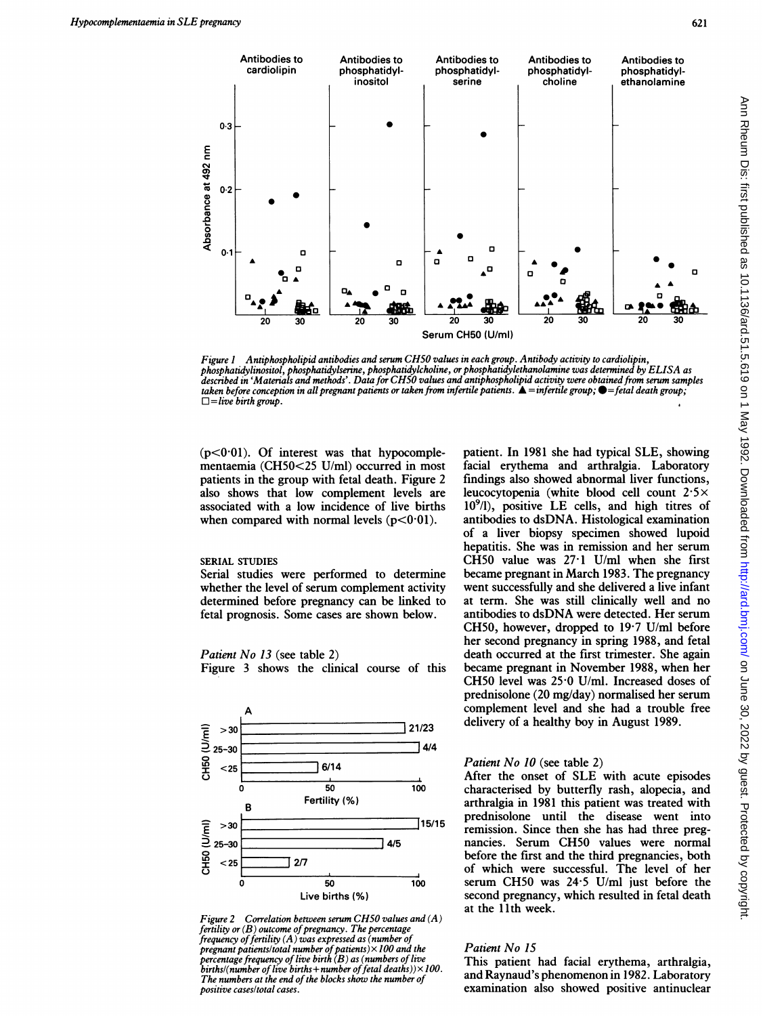

Figure <sup>1</sup> Antiphospholipid antibodies and serum CH50 values in each group. Antibody activity to cardiolipin, phosphatidylinositol, phosphatidylserine, phosphatidykcholine, or phosphatidylethanolamine was determined by ELISA as described in 'Materials and methods'. Data for CH50 values and antiphospholipid activity were obtained from serum samples taken before conception in all pregnant patients or taken from infertile patients.  $\Delta =$ infertile group;  $\blacklozenge =$ fetal death group;  $\Box =$ live birth group.

 $(p<0.01)$ . Of interest was that hypocomplementaemia (CH50<25 U/ml) occurred in most patients in the group with fetal death. Figure 2 also shows that low complement levels are associated with a low incidence of live births when compared with normal levels  $(p<0.01)$ .

# SERIAL STUDIES

Serial studies were performed to determine whether the level of serum complement activity determined before pregnancy can be linked to fetal prognosis. Some cases are shown below.

#### Patient No 13 (see table 2)

Figure 3 shows the clinical course of this





patient. In 1981 she had typical SLE, showing facial erythema and arthralgia. Laboratory findings also showed abnormal liver functions, leucocytopenia (white blood cell count  $2.5\times$  $10<sup>9</sup>/l$ ), positive LE cells, and high titres of antibodies to dsDNA. Histological examination of a liver biopsy specimen showed lupoid hepatitis. She was in remission and her serum CH50 value was 27-1 U/ml when she first became pregnant in March 1983. The pregnancy went successfully and she delivered a live infant at term. She was still clinically well and no antibodies to dsDNA were detected. Her serum CH50, however, dropped to  $19.7$  U/ml before her second pregnancy in spring 1988, and fetal death occurred at the first trimester. She again became pregnant in November 1988, when her CH50 level was 25-0 U/ml. Increased doses of prednisolone (20 mg/day) normalised her serum complement level and she had a trouble free delivery of a healthy boy in August 1989.

# Patient No 10 (see table 2)

After the onset of SLE with acute episodes characterised by butterfly rash, alopecia, and arthralgia in 1981 this patient was treated with prednisolone until the disease went into remission. Since then she has had three pregnancies. Serum CH50 values were normal before the first and the third pregnancies, both of which were successful. The level of her serum CH50 was 24-5 U/ml just before the second pregnancy, which resulted in fetal death at the 11th week.

## Patient No 15

This patient had facial erythema, arthralgia, and Raynaud's phenomenon in 1982. Laboratory examination also showed positive antinuclear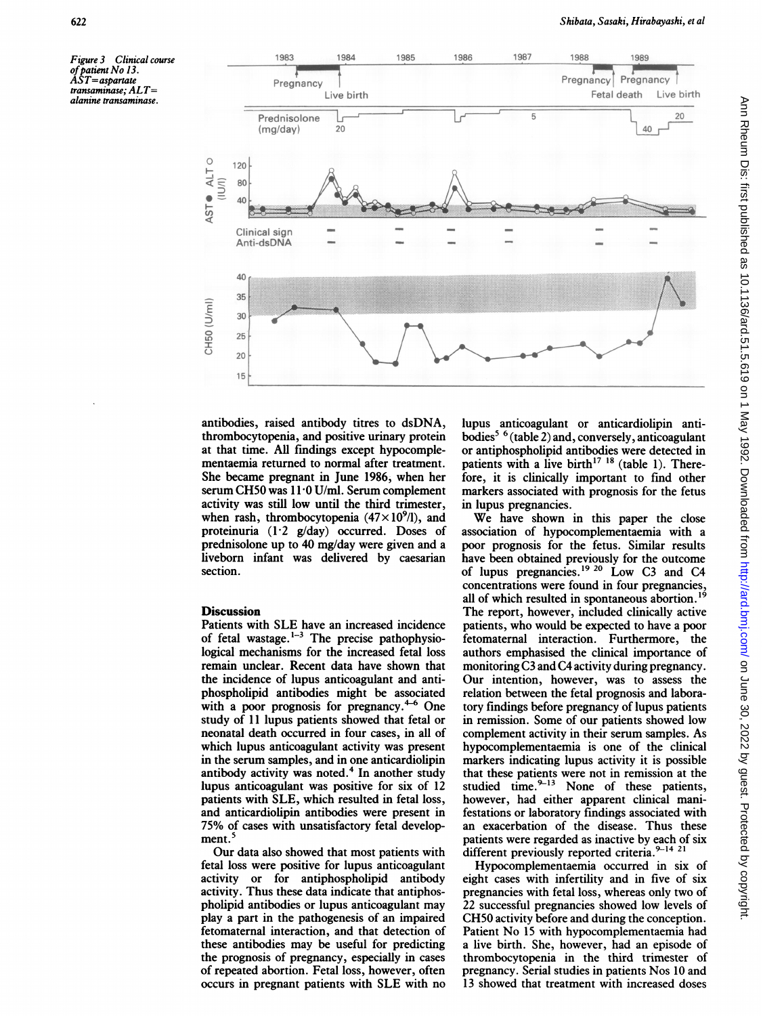Figure 3 Clinical course of patient No 13  $\AA$ ST = aspartate transaminase; ALT= alanine transaminase.



antibodies, raised antibody titres to dsDNA, thrombocytopenia, and positive urinary protein at that time. All findings except hypocomplementaemia returned to normal after treatment. She became pregnant in June 1986, when her serum CH50 was 11-0 U/ml. Serum complement activity was still low until the third trimester, when rash, thrombocytopenia  $(47 \times 10^9)$ , and proteinuria  $(1.2 \text{ g/day})$  occurred. Doses of prednisolone up to 40 mg/day were given and a liveborn infant was delivered by caesarian section.

# **Discussion**

Patients with SLE have an increased incidence of fetal wastage. $1-3$  The precise pathophysiological mechanisms for the increased fetal loss remain unclear. Recent data have shown that the incidence of lupus anticoagulant and antiphospholipid antibodies might be associated with a poor prognosis for pregnancy. $4-6$  One study of 11 lupus patients showed that fetal or neonatal death occurred in four cases, in all of which lupus anticoagulant activity was present in the serum samples, and in one anticardiolipin antibody activity was noted.<sup>4</sup> In another study lupus anticoagulant was positive for six of 12 patients with SLE, which resulted in fetal loss, and anticardiolipin antibodies were present in 75% of cases with unsatisfactory fetal development.<sup>5</sup>

Our data also showed that most patients with fetal loss were positive for lupus anticoagulant activity or for antiphospholipid antibody activity. Thus these data indicate that antiphospholipid antibodies or lupus anticoagulant may play a part in the pathogenesis of an impaired fetomaternal interaction, and that detection of these antibodies may be useful for predicting the prognosis of pregnancy, especially in cases of repeated abortion. Fetal loss, however, often occurs in pregnant patients with SLE with no

lupus anticoagulant or anticardiolipin antibodies5 6 (table 2) and, conversely, anticoagulant or antiphospholipid antibodies were detected in patients with a live birth<sup>17 18</sup> (table 1). Therefore, it is clinically important to find other markers associated with prognosis for the fetus in lupus pregnancies.

We have shown in this paper the close association of hypocomplementaemia with a poor prognosis for the fetus. Similar results have been obtained previously for the outcome of lupus pregnancies.'9 <sup>20</sup> Low C3 and C4 concentrations were found in four pregnancies, all of which resulted in spontaneous abortion.<sup>19</sup> The report, however, included clinically active patients, who would be expected to have a poor fetomaternal interaction. Furthermore, the authors emphasised the clinical importance of monitoring C3 and C4 activity during pregnancy. Our intention, however, was to assess the relation between the fetal prognosis and laboratory findings before pregnancy of lupus patients in remission. Some of our patients showed low complement activity in their serum samples. As hypocomplementaemia is one of the clinical markers indicating lupus activity it is possible that these patients were not in remission at the studied time. $9-13$  None of these patients, however, had either apparent clinical manifestations or laboratory findings associated with an exacerbation of the disease. Thus these patients were regarded as inactive by each of six different previously reported criteria.<sup>9-14 21</sup>

Hypocomplementaemia occurred in six of eight cases with infertility and in five of six pregnancies with fetal loss, whereas only two of 22 successful pregnancies showed low levels of CH50 activity before and during the conception. Patient No <sup>15</sup> with hypocomplementaemia had a live birth. She, however, had an episode of thrombocytopenia in the third trimester of pregnancy. Serial studies in patients Nos 10 and 13 showed that treatment with increased doses